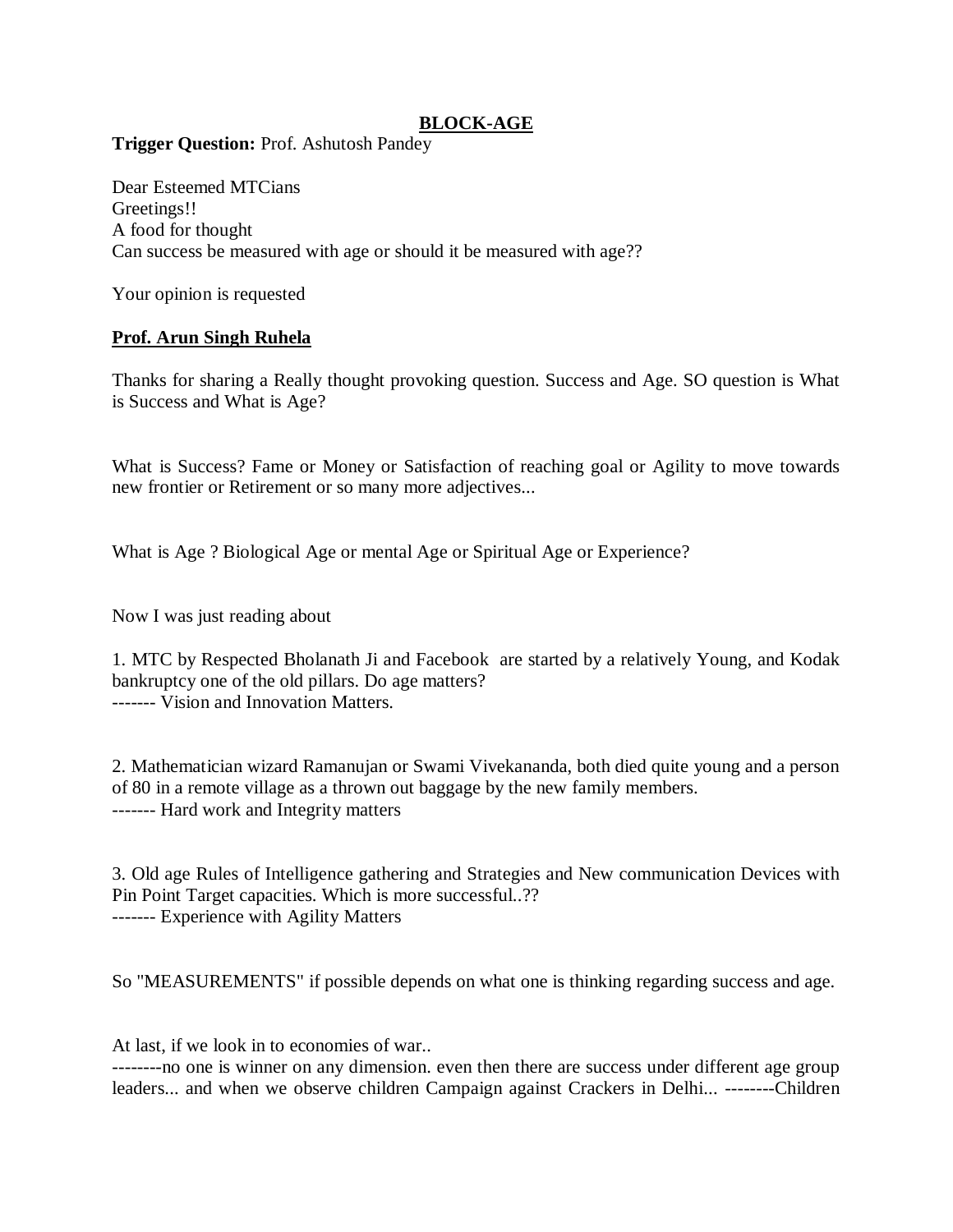## **BLOCK-AGE**

**Trigger Question:** Prof. Ashutosh Pandey

Dear Esteemed MTCians Greetings!! A food for thought Can success be measured with age or should it be measured with age??

Your opinion is requested

## **Prof. Arun Singh Ruhela**

Thanks for sharing a Really thought provoking question. Success and Age. SO question is What is Success and What is Age?

What is Success? Fame or Money or Satisfaction of reaching goal or Agility to move towards new frontier or Retirement or so many more adjectives...

What is Age ? Biological Age or mental Age or Spiritual Age or Experience?

Now I was just reading about

1. MTC by Respected Bholanath Ji and Facebook are started by a relatively Young, and Kodak bankruptcy one of the old pillars. Do age matters? ------- Vision and Innovation Matters.

2. Mathematician wizard Ramanujan or Swami Vivekananda, both died quite young and a person of 80 in a remote village as a thrown out baggage by the new family members. ------- Hard work and Integrity matters

3. Old age Rules of Intelligence gathering and Strategies and New communication Devices with Pin Point Target capacities. Which is more successful..?? ------- Experience with Agility Matters

So "MEASUREMENTS" if possible depends on what one is thinking regarding success and age.

At last, if we look in to economies of war..

--------no one is winner on any dimension. even then there are success under different age group leaders... and when we observe children Campaign against Crackers in Delhi... --------Children